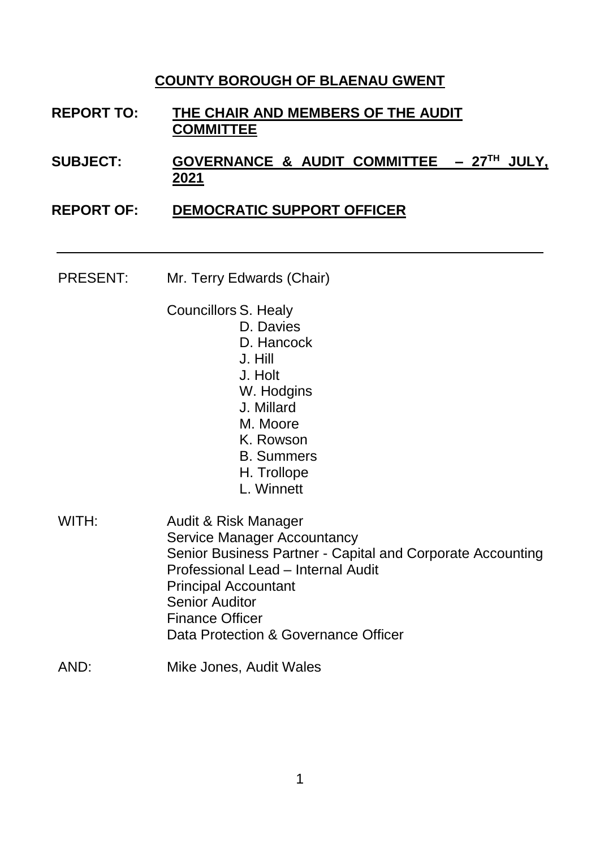## **COUNTY BOROUGH OF BLAENAU GWENT**

- **REPORT TO: THE CHAIR AND MEMBERS OF THE AUDIT COMMITTEE**
- **SUBJECT: GOVERNANCE & AUDIT COMMITTEE – 27 TH JULY, 2021**
- **REPORT OF: DEMOCRATIC SUPPORT OFFICER** 
	- PRESENT: Mr. Terry Edwards (Chair)
		- Councillors S. Healy
			- D. Davies
			- D. Hancock
			- J. Hill
			- J. Holt
			- W. Hodgins
			- J. Millard
			- M. Moore
			- K. Rowson
			- B. Summers
			- H. Trollope
			- L. Winnett
	- WITH: Audit & Risk Manager Service Manager Accountancy Senior Business Partner - Capital and Corporate Accounting Professional Lead – Internal Audit Principal Accountant Senior Auditor Finance Officer Data Protection & Governance Officer
	- AND: Mike Jones, Audit Wales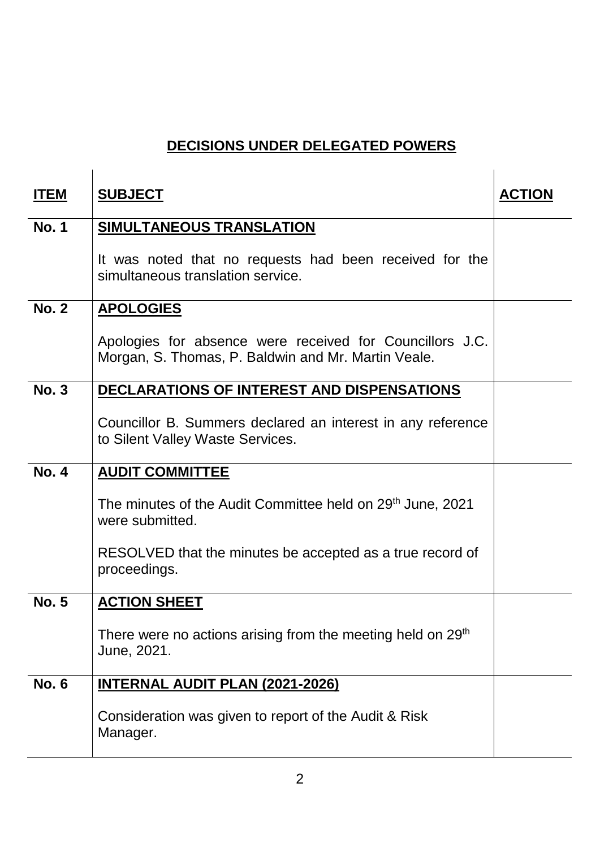## **DECISIONS UNDER DELEGATED POWERS**

 $\mathbf{r}$ 

 $\mathbf{i}$ 

| <b>ITEM</b>  | <b>SUBJECT</b>                                                                                                  | <b>ACTION</b> |
|--------------|-----------------------------------------------------------------------------------------------------------------|---------------|
| <b>No. 1</b> | <b>SIMULTANEOUS TRANSLATION</b>                                                                                 |               |
|              | It was noted that no requests had been received for the<br>simultaneous translation service.                    |               |
| <b>No. 2</b> | <b>APOLOGIES</b>                                                                                                |               |
|              | Apologies for absence were received for Councillors J.C.<br>Morgan, S. Thomas, P. Baldwin and Mr. Martin Veale. |               |
| <b>No. 3</b> | DECLARATIONS OF INTEREST AND DISPENSATIONS                                                                      |               |
|              | Councillor B. Summers declared an interest in any reference<br>to Silent Valley Waste Services.                 |               |
| <b>No. 4</b> | <b>AUDIT COMMITTEE</b>                                                                                          |               |
|              | The minutes of the Audit Committee held on 29 <sup>th</sup> June, 2021<br>were submitted.                       |               |
|              | RESOLVED that the minutes be accepted as a true record of<br>proceedings.                                       |               |
| <b>No. 5</b> | <b>ACTION SHEET</b>                                                                                             |               |
|              | There were no actions arising from the meeting held on 29 <sup>th</sup><br>June, 2021.                          |               |
| <b>No. 6</b> | <b>INTERNAL AUDIT PLAN (2021-2026)</b>                                                                          |               |
|              | Consideration was given to report of the Audit & Risk<br>Manager.                                               |               |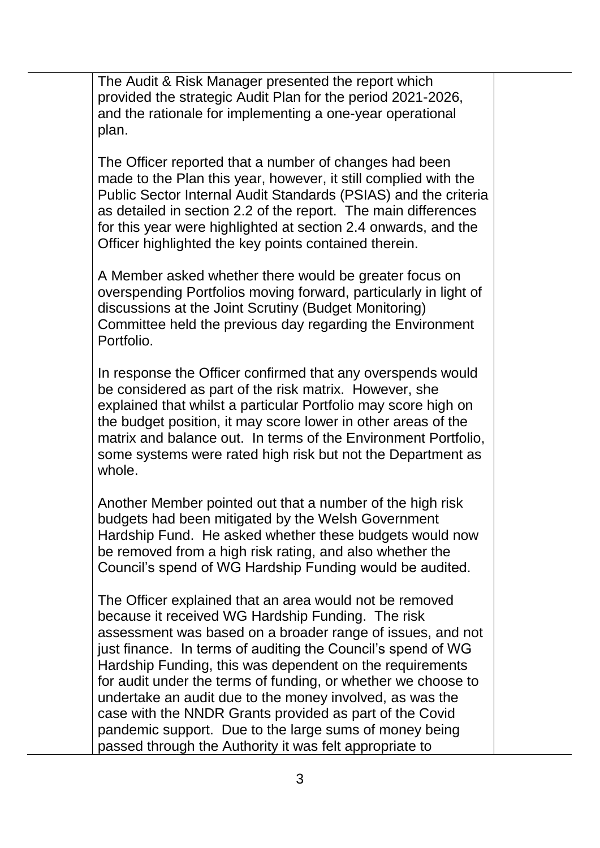The Audit & Risk Manager presented the report which provided the strategic Audit Plan for the period 2021-2026, and the rationale for implementing a one-year operational plan.

The Officer reported that a number of changes had been made to the Plan this year, however, it still complied with the Public Sector Internal Audit Standards (PSIAS) and the criteria as detailed in section 2.2 of the report. The main differences for this year were highlighted at section 2.4 onwards, and the Officer highlighted the key points contained therein.

A Member asked whether there would be greater focus on overspending Portfolios moving forward, particularly in light of discussions at the Joint Scrutiny (Budget Monitoring) Committee held the previous day regarding the Environment Portfolio.

In response the Officer confirmed that any overspends would be considered as part of the risk matrix. However, she explained that whilst a particular Portfolio may score high on the budget position, it may score lower in other areas of the matrix and balance out. In terms of the Environment Portfolio, some systems were rated high risk but not the Department as whole.

Another Member pointed out that a number of the high risk budgets had been mitigated by the Welsh Government Hardship Fund. He asked whether these budgets would now be removed from a high risk rating, and also whether the Council's spend of WG Hardship Funding would be audited.

The Officer explained that an area would not be removed because it received WG Hardship Funding. The risk assessment was based on a broader range of issues, and not just finance. In terms of auditing the Council's spend of WG Hardship Funding, this was dependent on the requirements for audit under the terms of funding, or whether we choose to undertake an audit due to the money involved, as was the case with the NNDR Grants provided as part of the Covid pandemic support. Due to the large sums of money being passed through the Authority it was felt appropriate to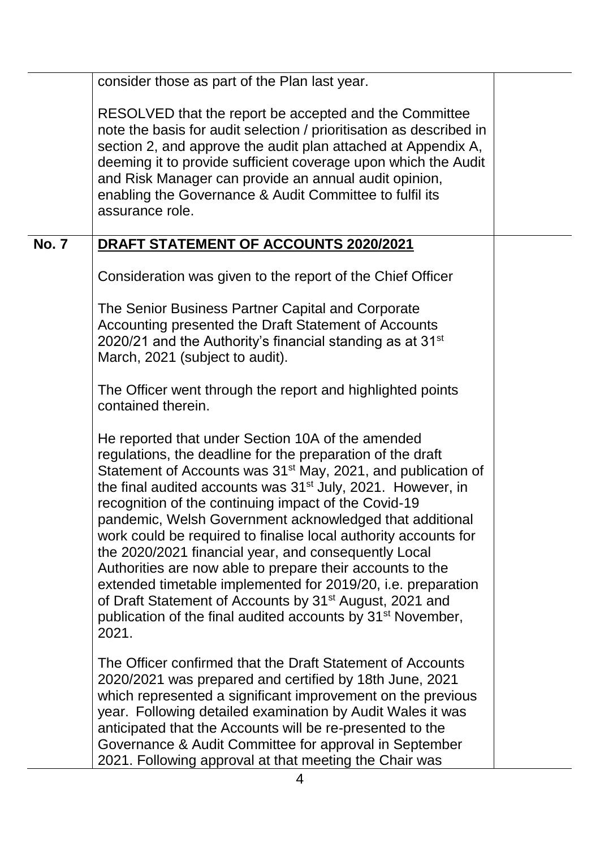|              | consider those as part of the Plan last year.                                                                                                                                                                                                                                                                                                                                                                                                                                                                                                                                                                                                                                                                                                                                                                |  |
|--------------|--------------------------------------------------------------------------------------------------------------------------------------------------------------------------------------------------------------------------------------------------------------------------------------------------------------------------------------------------------------------------------------------------------------------------------------------------------------------------------------------------------------------------------------------------------------------------------------------------------------------------------------------------------------------------------------------------------------------------------------------------------------------------------------------------------------|--|
|              | RESOLVED that the report be accepted and the Committee<br>note the basis for audit selection / prioritisation as described in<br>section 2, and approve the audit plan attached at Appendix A,<br>deeming it to provide sufficient coverage upon which the Audit<br>and Risk Manager can provide an annual audit opinion,<br>enabling the Governance & Audit Committee to fulfil its<br>assurance role.                                                                                                                                                                                                                                                                                                                                                                                                      |  |
| <b>No. 7</b> | DRAFT STATEMENT OF ACCOUNTS 2020/2021                                                                                                                                                                                                                                                                                                                                                                                                                                                                                                                                                                                                                                                                                                                                                                        |  |
|              | Consideration was given to the report of the Chief Officer                                                                                                                                                                                                                                                                                                                                                                                                                                                                                                                                                                                                                                                                                                                                                   |  |
|              | The Senior Business Partner Capital and Corporate<br>Accounting presented the Draft Statement of Accounts<br>2020/21 and the Authority's financial standing as at $31st$<br>March, 2021 (subject to audit).                                                                                                                                                                                                                                                                                                                                                                                                                                                                                                                                                                                                  |  |
|              | The Officer went through the report and highlighted points<br>contained therein.                                                                                                                                                                                                                                                                                                                                                                                                                                                                                                                                                                                                                                                                                                                             |  |
|              | He reported that under Section 10A of the amended<br>regulations, the deadline for the preparation of the draft<br>Statement of Accounts was 31 <sup>st</sup> May, 2021, and publication of<br>the final audited accounts was 31 <sup>st</sup> July, 2021. However, in<br>recognition of the continuing impact of the Covid-19<br>pandemic, Welsh Government acknowledged that additional<br>work could be required to finalise local authority accounts for<br>the 2020/2021 financial year, and consequently Local<br>Authorities are now able to prepare their accounts to the<br>extended timetable implemented for 2019/20, i.e. preparation<br>of Draft Statement of Accounts by 31 <sup>st</sup> August, 2021 and<br>publication of the final audited accounts by 31 <sup>st</sup> November,<br>2021. |  |
|              | The Officer confirmed that the Draft Statement of Accounts<br>2020/2021 was prepared and certified by 18th June, 2021<br>which represented a significant improvement on the previous<br>year. Following detailed examination by Audit Wales it was<br>anticipated that the Accounts will be re-presented to the<br>Governance & Audit Committee for approval in September<br>2021. Following approval at that meeting the Chair was                                                                                                                                                                                                                                                                                                                                                                          |  |
|              | 4                                                                                                                                                                                                                                                                                                                                                                                                                                                                                                                                                                                                                                                                                                                                                                                                            |  |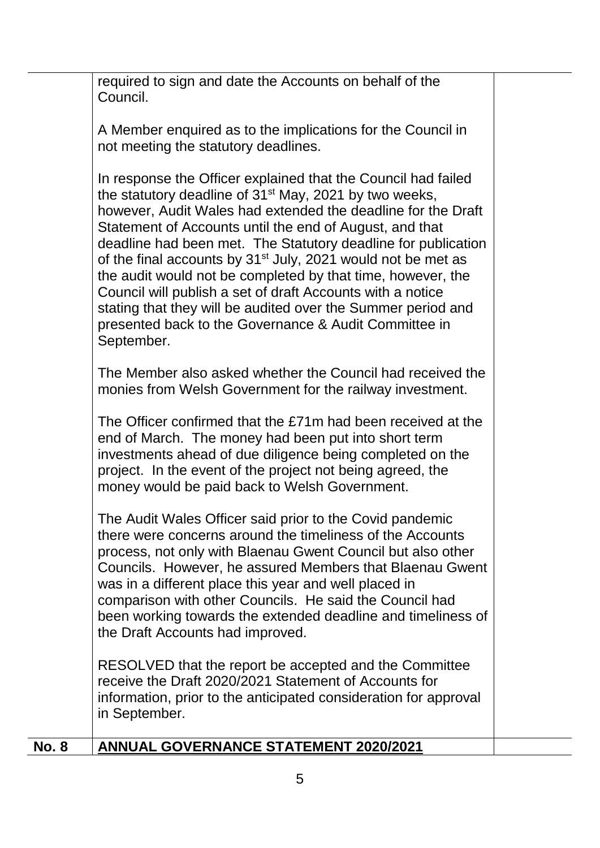required to sign and date the Accounts on behalf of the Council.

A Member enquired as to the implications for the Council in not meeting the statutory deadlines.

In response the Officer explained that the Council had failed the statutory deadline of  $31<sup>st</sup>$  May, 2021 by two weeks, however, Audit Wales had extended the deadline for the Draft Statement of Accounts until the end of August, and that deadline had been met. The Statutory deadline for publication of the final accounts by  $31<sup>st</sup>$  July, 2021 would not be met as the audit would not be completed by that time, however, the Council will publish a set of draft Accounts with a notice stating that they will be audited over the Summer period and presented back to the Governance & Audit Committee in September.

The Member also asked whether the Council had received the monies from Welsh Government for the railway investment.

The Officer confirmed that the £71m had been received at the end of March. The money had been put into short term investments ahead of due diligence being completed on the project. In the event of the project not being agreed, the money would be paid back to Welsh Government.

The Audit Wales Officer said prior to the Covid pandemic there were concerns around the timeliness of the Accounts process, not only with Blaenau Gwent Council but also other Councils. However, he assured Members that Blaenau Gwent was in a different place this year and well placed in comparison with other Councils. He said the Council had been working towards the extended deadline and timeliness of the Draft Accounts had improved.

RESOLVED that the report be accepted and the Committee receive the Draft 2020/2021 Statement of Accounts for information, prior to the anticipated consideration for approval in September.

|  | <b>No. 8</b> | ANNUAL GOVERNANCE STATEMENT 2020/2021 |
|--|--------------|---------------------------------------|
|--|--------------|---------------------------------------|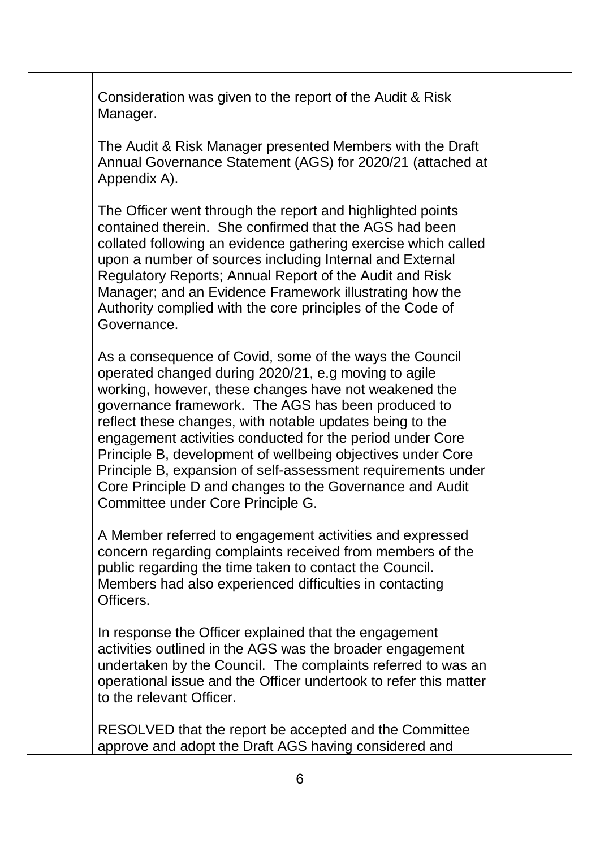Consideration was given to the report of the Audit & Risk Manager.

The Audit & Risk Manager presented Members with the Draft Annual Governance Statement (AGS) for 2020/21 (attached at Appendix A).

The Officer went through the report and highlighted points contained therein. She confirmed that the AGS had been collated following an evidence gathering exercise which called upon a number of sources including Internal and External Regulatory Reports; Annual Report of the Audit and Risk Manager; and an Evidence Framework illustrating how the Authority complied with the core principles of the Code of Governance.

As a consequence of Covid, some of the ways the Council operated changed during 2020/21, e.g moving to agile working, however, these changes have not weakened the governance framework. The AGS has been produced to reflect these changes, with notable updates being to the engagement activities conducted for the period under Core Principle B, development of wellbeing objectives under Core Principle B, expansion of self-assessment requirements under Core Principle D and changes to the Governance and Audit Committee under Core Principle G.

A Member referred to engagement activities and expressed concern regarding complaints received from members of the public regarding the time taken to contact the Council. Members had also experienced difficulties in contacting Officers.

In response the Officer explained that the engagement activities outlined in the AGS was the broader engagement undertaken by the Council. The complaints referred to was an operational issue and the Officer undertook to refer this matter to the relevant Officer.

RESOLVED that the report be accepted and the Committee approve and adopt the Draft AGS having considered and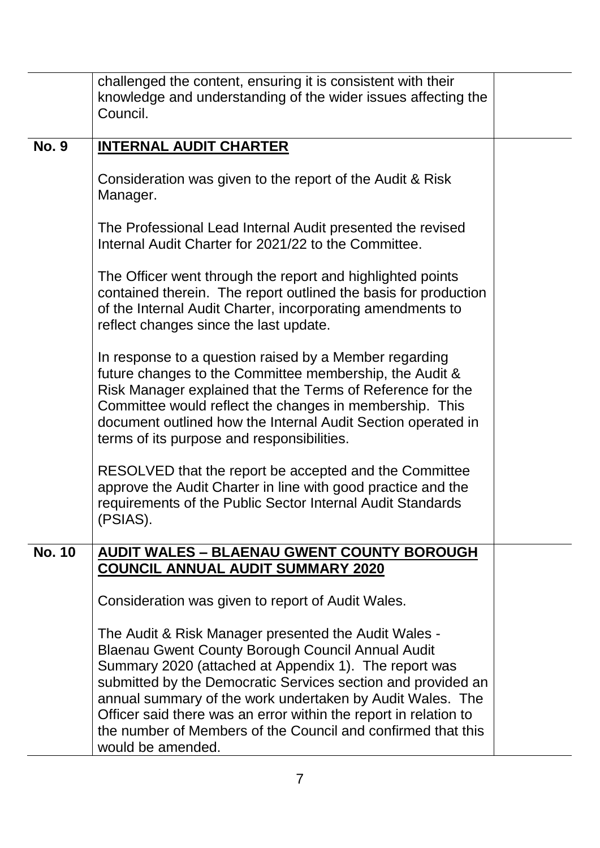|               | challenged the content, ensuring it is consistent with their<br>knowledge and understanding of the wider issues affecting the<br>Council.                                                                                                                                                                                                                                                                                                                       |  |
|---------------|-----------------------------------------------------------------------------------------------------------------------------------------------------------------------------------------------------------------------------------------------------------------------------------------------------------------------------------------------------------------------------------------------------------------------------------------------------------------|--|
| <b>No. 9</b>  | <b>INTERNAL AUDIT CHARTER</b>                                                                                                                                                                                                                                                                                                                                                                                                                                   |  |
|               | Consideration was given to the report of the Audit & Risk<br>Manager.                                                                                                                                                                                                                                                                                                                                                                                           |  |
|               | The Professional Lead Internal Audit presented the revised<br>Internal Audit Charter for 2021/22 to the Committee.                                                                                                                                                                                                                                                                                                                                              |  |
|               | The Officer went through the report and highlighted points<br>contained therein. The report outlined the basis for production<br>of the Internal Audit Charter, incorporating amendments to<br>reflect changes since the last update.                                                                                                                                                                                                                           |  |
|               | In response to a question raised by a Member regarding<br>future changes to the Committee membership, the Audit &<br>Risk Manager explained that the Terms of Reference for the<br>Committee would reflect the changes in membership. This<br>document outlined how the Internal Audit Section operated in<br>terms of its purpose and responsibilities.                                                                                                        |  |
|               | RESOLVED that the report be accepted and the Committee<br>approve the Audit Charter in line with good practice and the<br>requirements of the Public Sector Internal Audit Standards<br>(PSIAS).                                                                                                                                                                                                                                                                |  |
| <b>No. 10</b> | <b>AUDIT WALES - BLAENAU GWENT COUNTY BOROUGH</b><br><b>COUNCIL ANNUAL AUDIT SUMMARY 2020</b>                                                                                                                                                                                                                                                                                                                                                                   |  |
|               | Consideration was given to report of Audit Wales.                                                                                                                                                                                                                                                                                                                                                                                                               |  |
|               | The Audit & Risk Manager presented the Audit Wales -<br><b>Blaenau Gwent County Borough Council Annual Audit</b><br>Summary 2020 (attached at Appendix 1). The report was<br>submitted by the Democratic Services section and provided an<br>annual summary of the work undertaken by Audit Wales. The<br>Officer said there was an error within the report in relation to<br>the number of Members of the Council and confirmed that this<br>would be amended. |  |